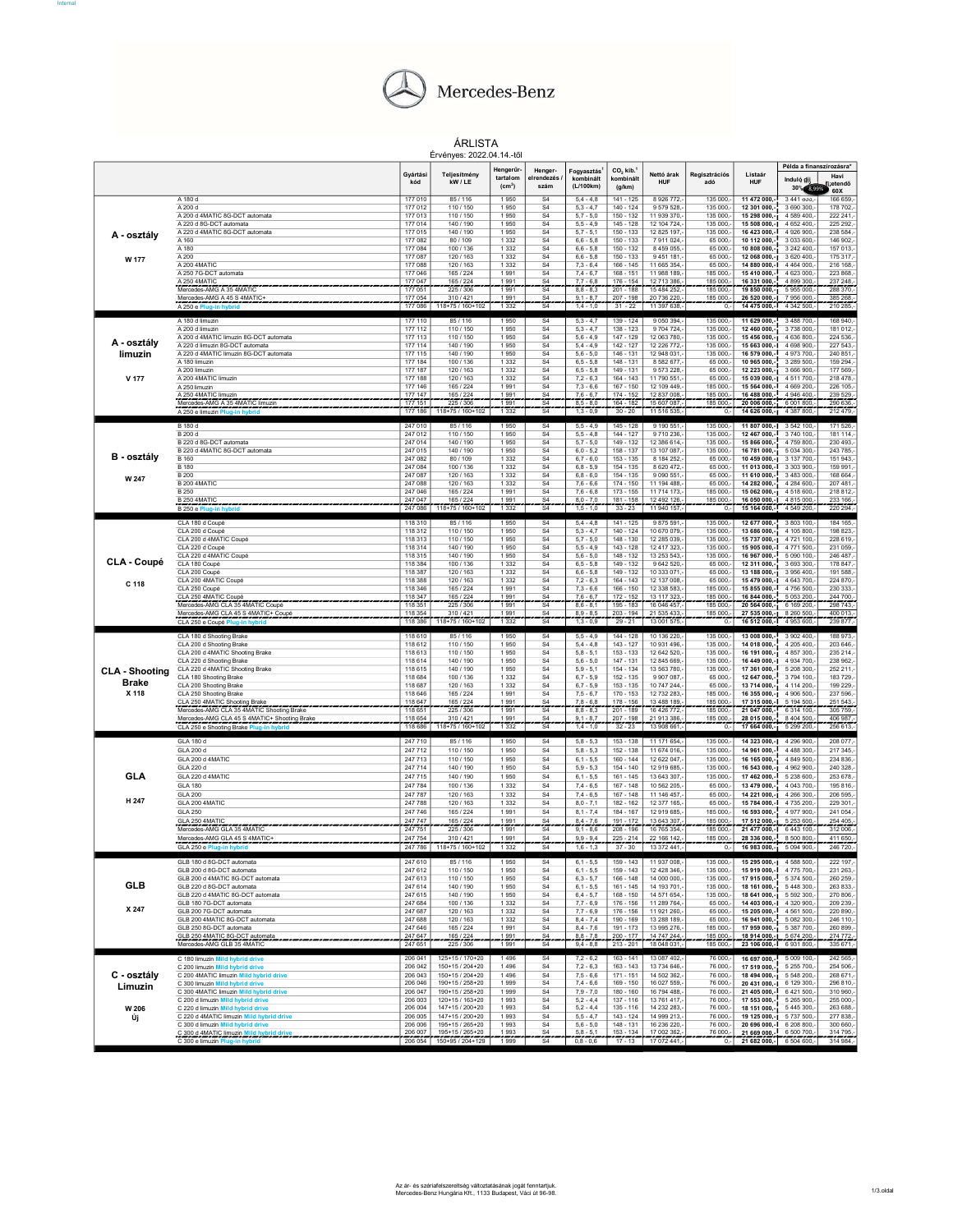

Internal#

## ÁRLISTA

|                        |                                                                                           |                    |                                    | Ervényes: 2022.04.14.-től      |                                             |                              |                            |                             |                      |                                                      | Példa a finanszírozásra*               |                        |  |
|------------------------|-------------------------------------------------------------------------------------------|--------------------|------------------------------------|--------------------------------|---------------------------------------------|------------------------------|----------------------------|-----------------------------|----------------------|------------------------------------------------------|----------------------------------------|------------------------|--|
|                        |                                                                                           | Gyártási           | Teljesítmény                       | Hengerűr-                      | Henger-                                     | Fogyasztás <sup>1</sup>      | CO <sub>2</sub> kib.       | Nettó árak                  | Regisztrációs        | Listaár                                              |                                        | Havi                   |  |
|                        |                                                                                           | kód                | kW / LE                            | tartalom<br>(cm <sup>3</sup> ) | elrendezés<br>szám                          | kombinált<br>(L/100km)       | kombinált<br>(g/km)        | <b>HUF</b>                  | adó                  | HUF                                                  | Induló díj<br>30% 8,99%                | zetendő                |  |
|                        | A 180 d                                                                                   | 177 010            | 85 / 116                           | 1950                           | S <sub>4</sub>                              | $5,4 - 4,8$                  | 141 - 125                  | 8 9 26 7 7 2                | 135 000              | 11 472 000,                                          | 3 441 000,                             | 60X<br>166 659,        |  |
|                        | A 200 d<br>A 200 d 4MATIC 8G-DCT automata                                                 | 177 012<br>177 013 | 110 / 150<br>110 / 150             | 1950<br>1950                   | S <sub>4</sub><br>S <sub>4</sub>            | $5.3 - 4.7$<br>$5.7 - 5.0$   | $140 - 124$<br>150 - 132   | 9 579 528.<br>11 939 370,   | 135 000<br>135 000   | 12 301 000,<br>15 298 000,-                          | 3 690 300<br>4 589 400                 | 178 702,<br>222 241    |  |
|                        | A 220 d 8G-DCT automata                                                                   | 177 014            | 140 / 190                          | 1950                           | S <sub>4</sub>                              | $5.5 - 4.9$                  | $145 - 128$                | 12 104 724.                 | 135 000              | 15 508 000 .- I                                      | 4 652 400                              | 225 292                |  |
| A - osztály            | A 220 d 4MATIC 8G-DCT automata<br>A 160                                                   | 177 015<br>177 082 | 140 / 190<br>80/109                | 1950<br>1 3 3 2                | S <sub>4</sub><br>S <sub>4</sub>            | $5,7 - 5,1$<br>$6.6 - 5.8$   | 150 - 133<br>$150 - 133$   | 12 825 197,<br>7911024.     | 135 000<br>65 000    | 16 423 000.-<br>10 112 000.                          | 4 926 900<br>3 033 600,                | 238 584,<br>146 902.   |  |
|                        | A 180                                                                                     | 177 084            | 100 / 136                          | 1 3 3 2                        | S <sub>4</sub>                              | $6,6 - 5,8$                  | $150 - 132$                | 8 459 055,                  | 65 000               | 10 808 000,-                                         | 3 242 400                              | 157 013,               |  |
| W 177                  | A 200<br>A 200 4MATIC                                                                     | 177 087<br>177 088 | 120 / 163<br>120 / 163             | 1 3 3 2<br>1 3 3 2             | S4<br>S <sub>4</sub>                        | $6.6 - 5.8$<br>$7.3 - 6.4$   | $150 - 133$<br>$166 - 145$ | 9 451 181<br>11 665 354,    | 65 000<br>65 000     | 12 068 000.-1<br>14 880 000.-                        | 3 6 20 4 00<br>4 4 6 4 0 0 0           | 175 317<br>216 168     |  |
|                        | A 250 7G-DCT automata                                                                     | 177 046            | 165 / 224                          | 1 991                          | S <sub>4</sub>                              | $7.4 - 6.7$                  | 168 - 151                  | 11 988 189                  | 185,000              | 15 410 000 .-                                        | 4 623 000                              | 223 868                |  |
|                        | A 250 4MATIC<br>Mercedes-AMG A 35 4MATIC                                                  | 177 047<br>177 051 | 165 / 224<br>225 / 306             | 1991<br>1991                   | S <sub>4</sub><br>S <sub>4</sub>            | $7.7 - 6.8$<br>$8,8 - 8,3$   | $176 - 15$<br>$201 - 188$  | 12 713 386<br>15 484 252,   | 85 000<br>185 000.   | 16 331 000<br>19 850 000,-1                          | 4 899 300<br>5 955 000                 | 237 248,<br>288 370,-  |  |
|                        | Mercedes-AMG A 45 S 4MATIC+                                                               | 177 054            | 310/421                            | 1991                           | S <sub>4</sub>                              | $9.1 - 8.7$                  | $207 - 198$                | 20 736 220,                 | 185 000              | 26 520 000,-1                                        | 7956000                                | 385 268,               |  |
|                        | A 250 e Plug-in hybrid                                                                    | 177 086            | 118+75 / 160+102                   | 1332                           | $\overline{S4}$                             | $1.4 - 1.0$                  | $31 - 22$                  | 11 397 638 -                | $0. -$               | 14 475 000. 1 4 342 500.                             |                                        | 210 285.               |  |
|                        | A 180 d limuzin                                                                           | 177 110            | 85 / 116                           | 1950                           | S4                                          | $5,3 - 4,7$                  | $139 - 124$                | 9 050 394,-                 | 135 000,             | 11 629 000,-                                         | 3 488 700,                             | 168 940,               |  |
|                        | A 200 d limuzin<br>A 200 d 4MATIC limuzin 8G-DCT automata                                 | 177 112<br>177 113 | 110 / 150<br>110 / 150             | 1950<br>1950                   | S <sub>4</sub><br>S <sub>4</sub>            | $5.3 - 4.7$<br>$5,6 - 4,9$   | $138 - 123$<br>147 - 129   | 9 704 724.<br>12 063 780,   | 135 000<br>135 000   | 12 460 000,-<br>15 456 000,-                         | 3 738 000,<br>4 636 800                | 181 012.<br>224 536,   |  |
| A - osztály            | A 220 d limuzin 8G-DCT automata                                                           | 177 114            | 140 / 190                          | 1950                           | S4                                          | $5.4 - 4.9$                  | $142 - 127$                | 12 226 772.                 | 135 000              | 15 663 000.-                                         | 4 698 900                              | 227 543                |  |
| limuzin                | A 220 d 4MATIC limuzin 8G-DCT automata<br>A 180 limuzin                                   | 177 115<br>177 184 | 140 / 190<br>100 / 136             | 1950<br>1.332                  | S <sub>4</sub><br>S <sub>4</sub>            | $5,6 - 5,0$<br>$6.5 - 5.8$   | $146 - 131$<br>148 - 131   | 12 948 031.<br>8 582 677    | 135 000<br>65 000    | 16 579 000.-<br>10 965 000.                          | 4 973 700<br>3 289 500                 | 240 851<br>159 294     |  |
|                        | A 200 limuzin                                                                             | 177 187            | 120 / 163                          | 1 3 3 2                        | S <sub>4</sub>                              | $6,5 - 5,8$                  | 149 - 131                  | 9 573 228.                  | 65 000               | 12 223 000,-1                                        | 3 666 900                              | 177 569.               |  |
| V 177                  | A 200 4MATIC limuzin<br>A 250 limuzin                                                     | 177 188<br>177 146 | 120 / 163<br>165 / 224             | 1 3 3 2<br>1991                | S <sub>4</sub><br>S <sub>4</sub>            | $7.2 - 6.3$<br>$7,3 - 6,6$   | $164 - 143$<br>$167 - 150$ | 11 790 551.<br>12 109 449,  | 65 000<br>185 000    | 15 039 000 .- I<br>15 564 000,-                      | 4511700<br>4 669 200                   | 218 478<br>226 105,    |  |
|                        | A 250 4MATIC limuzin                                                                      | 177 147            | 165 / 224                          | 1 991                          | S <sub>4</sub>                              | $76 - 67$                    | $174 - 152$                | 12 837 008                  | 185.000              | 16 488 000.                                          | 4 946 400                              | 239.529                |  |
|                        | Mercedes-AMG A 35 4MATIC limuzin<br>A 250 e limuzin P                                     | 177 151<br>177 186 | 225 / 306<br>$118+75/160+102$      | 1991<br>1 3 3 2                | $\overline{54}$                             | $8,5 - 8,0$<br>$1,3 - 0,9$   | $164 - 182$<br>$30 - 20$   | 5 607 087,<br>11 516 535 -  | 185 000,<br>$0, -$   | 20 006 000,                                          | 6 001 800<br>14 626 000,-1 4 387 800,- | 290 636,-<br>212 479,- |  |
|                        |                                                                                           |                    |                                    |                                |                                             |                              |                            |                             |                      |                                                      |                                        |                        |  |
|                        | <b>B</b> 180 d<br>B 200 d                                                                 | 247 010<br>247 012 | 85/116<br>110 / 150                | 1950<br>1950                   | S <sub>4</sub><br>S4                        | $5, 5 - 4, 9$<br>$5.5 - 4.8$ | 145 - 128<br>$144 - 127$   | 9 190 551,-<br>9 710 236.   | 135 000,<br>135 000  | 11 807 000.-<br>12 467 000.-                         | 3 542 100,<br>3 740 100                | 171 526,-<br>181 114   |  |
|                        | B 220 d 8G-DCT automata                                                                   | 247 014            | 140 / 190                          | 1950                           | S <sub>4</sub>                              | $5,7 - 5,0$                  | 149 - 132                  | 12 386 614,-                | 135 000,             | 15 866 000.                                          | 4759800,                               | 230 493                |  |
| B - osztály            | B 220 d 4MATIC 8G-DCT automata<br><b>B</b> 160                                            | 247 015<br>247 082 | 140/190<br>80/109                  | 1950<br>1 3 3 2                | S <sub>4</sub><br>S <sub>4</sub>            | $6,0 - 5,2$<br>$6,7 - 6,0$   | $158 - 137$<br>153 - 135   | 13 107 087.<br>8 184 252,   | 135 000<br>65 000    | 16 781 000.-<br>10 459 000,-1                        | 5 0 3 4 3 0 0<br>3 137 700             | 243 785<br>151 943,    |  |
|                        | <b>B</b> 180                                                                              | 247 084            | 100 / 136                          | 1 3 3 2                        | S <sub>4</sub>                              | $6,8 - 5,9$                  | $154 - 135$                | 8 620 472.                  | 65 000               | 11 013 000,-                                         | 3 303 900                              | 159 991                |  |
| W 247                  | <b>B</b> 200<br><b>B 200 4MATIC</b>                                                       | 247 087<br>247 088 | 120 / 163<br>120 / 163             | 1 3 3 2<br>1 3 3 2             | S <sub>4</sub><br>S <sub>4</sub>            | $6,8 - 6,0$<br>$7.6 - 6.6$   | $154 - 135$<br>$174 - 150$ | 9 090 551,<br>11 194 488.   | 65 000<br>65 000     | 11 610 000,-<br>14 282 000,-                         | 3 483 000,<br>4 284 600                | 168 664<br>207 481     |  |
|                        | <b>B250</b><br>B 250 4MATIC                                                               | 247 046            | 165 / 224                          | 1991                           | S <sub>4</sub><br>S <sub>4</sub>            | $7,6 - 6,8$                  | 173 - 155<br>181 - 158     | 11 714 173.                 | 185 000              | 15 062 000,-1<br>16 050 000 - 4 815 000              | 4 518 600                              | 218 812,               |  |
|                        | <b>B250eP</b>                                                                             | 247 047<br>247 086 | 165 / 224<br>118+75 / 160+102      | 1 9 9 1<br>1 3 3 2             | $\overline{54}$                             | $80 - 70$<br>$1,5 - 1,0$     | $33 - 23$                  | 12 492 126<br>11 940 157.   | 185,000<br>0.1       | 15 164 000,-                                         | 4 549 200,-                            | 233 166<br>220 294,-   |  |
|                        | CLA 180 d Coupé                                                                           | 118 310            | 85 / 116                           | 1950                           | S <sub>4</sub>                              | $5.4 - 4.8$                  | 141 - 125                  | 9875591                     | 135 000              | 12 677 000.                                          | 3 803 100                              | 184 165                |  |
|                        | CLA 200 d Coupé                                                                           | 118 312            | 110 / 150                          | 1950                           | S <sub>4</sub>                              | $5.3 - 4.7$                  | $140 - 124$                | 10 670 079.                 | 135 000              | 13 686 000,-1                                        | 4 105 800                              | 198 823                |  |
|                        | CLA 200 d 4MATIC Coupé<br>CLA 220 d Coupé                                                 | 118 313<br>118 314 | 110/150<br>140 / 190               | 1950<br>1950                   | S <sub>4</sub><br>S <sub>4</sub>            | $5.7 - 5.0$<br>$5,5 - 4,9$   | $148 - 130$<br>143 - 128   | 12 285 039.<br>12 417 323,  | 135 000<br>135 000   | 15 737 000 .- I<br>15 905 000,-                      | 4 721 100<br>4 771 500                 | 228 619<br>231 059.    |  |
|                        | CLA 220 d 4MATIC Coupé                                                                    | 118 315            | 140 / 190                          | 1950                           | S <sub>4</sub>                              | $5,6 - 5,0$                  | 148 - 132                  | 13 253 543.                 | 135 000              | 16 967 000,-                                         | 5 090 100                              | 246 487                |  |
| CLA Coupé              | CLA 180 Coupé<br>CLA 200 Coupé                                                            | 118 384<br>118 387 | 100 / 136<br>120 / 163             | 1 3 3 2<br>1 3 3 2             | S <sub>4</sub><br>S <sub>4</sub>            | $6,5 - 5,8$<br>$6,6 - 5,8$   | 149 - 132<br>149 - 132     | 9 642 520,<br>10 333 071.   | 65 000,<br>65 000    | 12 311 000,-<br>13 188 000.-                         | 3 693 300<br>3956400                   | 178 847<br>191 588     |  |
| C 118                  | CLA 200 4MATIC Coupé                                                                      | 118 388            | 120 / 163                          | 1 3 3 2                        | S <sub>4</sub>                              | $7,2 - 6,3$                  | $164 - 143$                | 12 137 008,                 | 65 000               | 15 479 000,-1                                        | 4 643 700                              | 224 870,               |  |
|                        | CLA 250 Coupé<br>CLA 250 4MATIC Coupé                                                     | 118 346<br>118 347 | 165 / 224                          | 1991<br>1991                   | S <sub>4</sub>                              | $7,3 - 6,6$<br>$7.6 - 6.7$   | $166 - 150$<br>$172 - 152$ | 12 338 583.<br>13 117 323.  | 185 000<br>185 000   | 15 855 000.-                                         | 4756500<br>5 0 5 3 2 0 0               | 230 333<br>244 700.    |  |
|                        | Mercedes-AMG CLA 35 4MATIC Coupé                                                          | 118 351            | 165 / 224<br>225 / 306             | 1991                           | S <sub>4</sub><br>$\overline{S4}$           | $8.6 - 8.1$                  | 195 - 183                  | 16 046 457.                 | 185 000,             | 16 844 000,<br>20 564 000,-                          | 6 169 200                              | 298 743,               |  |
|                        | Mercedes-AMG CLA 45 S 4MATIC+ Coupé<br>CLA 250 e Coupé Plug-in                            | 118 354<br>118 386 | 310/421<br>$118+75/160+10$         | 1991<br>1 3 3 2                | S <sub>4</sub><br>$\overline{\mathsf{s}}$ 4 | $8.9 - 8.5$<br>$1,3 - 0,9$   | $203 - 194$<br>$29 - 21$   | 21 535 433<br>13 001 575,-  | 185 000<br>$0. -$    | 27 535 000,-1                                        | 8 260 500<br>16 512 000, 1 4 953 600,  | 400 013,-<br>239 877,  |  |
|                        |                                                                                           |                    |                                    |                                |                                             |                              |                            |                             |                      |                                                      |                                        |                        |  |
|                        | CLA 180 d Shooting Brake<br>CLA 200 d Shooting Brake                                      | 118 610<br>118 612 | 85/116<br>110 / 150                | 1950<br>1950                   | S <sub>4</sub><br>S <sub>4</sub>            | $5,5 - 4,9$<br>$5.4 - 4.8$   | $144 - 128$<br>$143 - 127$ | 10 136 220,-<br>10 931 496. | 135 000,-<br>135 000 | 13 008 000.-<br>14 018 000.                          | 3 902 400,<br>4 205 400                | 188 973.<br>203 646    |  |
|                        | CLA 200 d 4MATIC Shooting Brake                                                           | 118 613            | 110 / 150                          | 1950                           | S <sub>4</sub>                              | $5.8 - 5.1$                  | $153 - 133$                | 12 642 520.                 | 135 000              | 16 191 000,-1                                        | 4 857 300                              | 235 214.               |  |
| <b>CLA - Shooting</b>  | CLA 220 d Shooting Brake<br>CLA 220 d 4MATIC Shooting Brake                               | 118 614<br>118 615 | 140 / 190<br>140 / 190             | 1950<br>1950                   | S <sub>4</sub><br>S <sub>4</sub>            | $5.6 - 5.0$<br>$5,9 - 5,1$   | $147 - 131$<br>154 - 134   | 12 845 669<br>13 563 780.   | 135 000<br>135 000   | 16 449 000 .- I<br>17 361 000,-                      | 4 934 700<br>5 208 300,                | 238 962<br>252 211     |  |
| <b>Brake</b>           | CLA 180 Shooting Brake                                                                    | 118 684            | 100 / 136                          | 1 3 3 2                        | S <sub>4</sub>                              | $6.7 - 5.9$                  | 152 - 135                  | 9907087                     | 65 000               | 12 647 000,-                                         | 3794 100                               | 183 729                |  |
| X 118                  | CLA 200 Shooting Brake<br>CLA 250 Shooting Brake                                          | 118 687<br>118 646 | 120 / 163<br>165 / 224             | 1 3 3 2<br>1 9 9 1             | S <sub>4</sub><br>S <sub>4</sub>            | $6,7 - 5,9$<br>$7.5 - 6.7$   | 153 - 135<br>$170 - 153$   | 10 747 244<br>12 732 283.   | 65 000,<br>185 000   | 13 714 000,-<br>16 355 000,-1                        | 4 114 200<br>4 906 500                 | 199 229,<br>237 596    |  |
|                        | CLA 250 4MATIC Shooting Brake                                                             | 118 647            | 165 / 224                          | 1991                           | S <sub>4</sub>                              | $7.8 - 6.8$                  | $178 - 156$                | 13 488 189                  | 185 000              | 17 315 000,-                                         | 5 194 500                              | 251 543,               |  |
|                        | Mercedes-AMG CLA 35 4MATIC Shooting Brake<br>Mercedes-AMG CLA 45 S 4MATIC+ Shooting Brake | 118 651<br>118 654 | 225 / 306<br>310/421               | 1991<br>1991                   | S4<br>S <sub>4</sub>                        | $8,8 - 8,3$<br>$91 - 87$     | $201 - 189$<br>$207 - 198$ | 16 426 772.<br>21913386     | 185 000,<br>185 000  | 21 047 000,-<br>28 015 000,                          | 6 314 100<br>8 404 500                 | 305 759,-<br>406 987.  |  |
|                        | CLA 250 e Shooting Brake Plug-in h                                                        | 118 686            | 118+75 / 160+102                   | 1 3 3 2                        | S4                                          | $1,4 - 1,0$                  | $32 - 23$                  | 13 908 661,-                | $0.7 -$              |                                                      | 17 664 000,-1 5 299 200,-              | 256 613,-              |  |
|                        | GLA 180 d                                                                                 | 247 710            | 85/116                             | 1950                           | S <sub>4</sub>                              | $5.8 - 5.3$                  | $153 - 138$                | 11 171 654.                 | 135 000              |                                                      | 14 323 000,-1 4 296 900,-              | 208 077                |  |
|                        | GLA 200 d                                                                                 | 247 712            | 110 / 150                          | 1950                           | S <sub>4</sub>                              | $5,8 - 5,3$                  | 152 - 138                  | 11 674 016.                 | 135 000,-            | 14 961 000.                                          | 4 488 300                              | 217 345                |  |
|                        | GLA 200 d 4MATIC<br>GLA 220 d                                                             | 247 713<br>247 714 | 110 / 150<br>140 / 190             | 1950<br>1950                   | S <sub>4</sub><br>S <sub>4</sub>            | $6,1 - 5,5$<br>$5,9 - 5,3$   | $160 - 144$<br>$154 - 140$ | 12 622 047,<br>12 919 685.  | 135 000,<br>135 000  | 16 165 000,-<br>16 543 000 .- I                      | 4 849 500<br>4 962 900                 | 234 836<br>240 328     |  |
| GLA                    | GLA 220 d 4MATIC                                                                          | 247 715            | 140 / 190                          | 1950                           | S <sub>4</sub>                              | $6.1 - 5.5$                  | $161 - 145$                | 13 643 307.                 | 135 000.             | 17 462 000,-                                         | 5 238 600,                             | 253 678,               |  |
|                        | <b>GLA 180</b>                                                                            | 247 784            | 100 / 136                          | 1 3 3 2                        | S <sub>4</sub>                              | $7,4 - 6,5$                  | $167 - 148$                | 10 562 205,                 | 65 000,              | 13 479 000,-                                         | 4 043 700                              | 195 816.               |  |
| H 247                  | <b>GLA 200</b><br>GLA 200 4MATIC                                                          | 247 787<br>247 788 | 120 / 163<br>120 / 163             | 1 3 3 2<br>1 3 3 2             | S <sub>4</sub><br>S <sub>4</sub>            | $7,4 - 6,5$<br>$8,0 - 7,1$   | $167 - 148$<br>182 - 162   | 11 146 457,<br>12 377 165.  | 65 000<br>65 000     | 14 221 000,-<br>15 784 000.-                         | 4 266 300<br>4735200                   | 206 595,<br>229 301    |  |
|                        | <b>GLA 250</b>                                                                            | 247 746            | 165 / 224                          | 1991                           | S <sub>4</sub>                              | $8.1 - 7.4$                  | $184 - 167$                | 12 919 685.                 | 185 000              | 16 593 000.                                          | 4 977 900                              | 241 054                |  |
|                        | GLA 250 4MATIC<br>Mercedes-AMG GLA 35 4MATIC                                              | 247 747<br>247 751 | 165 / 224<br>225 / 306             | 1991<br>1991                   | S <sub>4</sub><br>S <sub>4</sub>            | $8.4 - 7.6$<br>$9,1 - 8,6$   | $191 - 172$<br>$208 - 196$ | 13 643 307.<br>16 765 354,- | 185 000<br>185 000,- | 17 512 000,-<br>21 477 000 .- I                      | 5 253 600<br>6443100                   | 254 405.<br>312 006,-  |  |
|                        | Mercedes-AMG GLA 45 S 4MATIC+                                                             | 247 754            | 310/421                            | 1 991                          | S <sub>4</sub>                              | $99 - 94$                    | $225 - 214$                | 22 166 142                  | 185,000              | 28 336 000,-                                         | 8.500.800                              | 411 650                |  |
|                        | <b>GLA 250 e PI</b>                                                                       | 247 786            | 118+75 / 160+102                   | 1 3 3 2                        | S <sub>4</sub>                              | $1.6 - 1.3$                  | $37 - 30$                  | 13 372 441.                 | 0.                   |                                                      | 16 983 000, 1 5 094 900,               | 246 720.               |  |
|                        | GLB 180 d 8G-DCT automata                                                                 | 247 610            | 85 / 116                           | 1950                           | S <sub>4</sub>                              | $6,1 - 5,5$                  | $159 - 143$                | 11 937 008,-                | 135 000,-            |                                                      | 15 295 000,-1 4 588 500,-              | 222 197,               |  |
|                        | GLB 200 d 8G-DCT automata                                                                 | 247 612            | 110/150                            | 1950                           | S <sub>4</sub>                              | $6.1 - 5.5$                  | $159 - 143$                | 12 428 346.                 | 135 000.             | 15 919 000,-1 4 775 700,-                            |                                        | 231 263.               |  |
| GLB                    | GLB 200 d 4MATIC 8G-DCT automata<br>GLB 220 d 8G-DCT automata                             | 247 613<br>247 614 | 110 / 150<br>140/190               | 1950<br>1950                   | S <sub>4</sub><br>S <sub>4</sub>            | $6,3 - 5,7$<br>$6.1 - 5.5$   | 166 - 148<br>$161 - 145$   | 14 000 000,<br>14 193 701.  | 135 000<br>135 000   | 17 915 000,-<br>18 161 000.-                         | 5 374 500,<br>5448300                  | 260 259,<br>263 833.   |  |
|                        | GLB 220 d 4MATIC 8G-DCT automata                                                          | 247 615            | 140 / 190                          | 1950                           | S <sub>4</sub>                              | $6,4 - 5,7$                  | $168 - 150$                | 14 571 654,                 | 135 000              | 18 641 000,-1 5 592 300,                             |                                        | 270 806,               |  |
| X 247                  | GLB 180 7G-DCT automata<br>GLB 200 7G-DCT automata                                        | 247 684<br>247 687 | 100 / 136<br>120 / 163             | 1 3 3 2<br>1 3 3 2             | S <sub>4</sub><br>S <sub>4</sub>            | $7.7 - 6.9$<br>$7.7 - 6.9$   | $176 - 156$<br>$176 - 156$ | 11 289 764.<br>11 921 260,  | 65 000.<br>65 000,   | 15 205 000,-1 4 561 500,                             | 14 403 000,-1 4 320 900,-              | 209 239.-<br>220 890,  |  |
|                        | GLB 200 4MATIC 8G-DCT automata                                                            | 247 688            | 120 / 163                          | 1 3 3 2                        | S <sub>4</sub>                              | $8.4 - 7.4$                  | $190 - 169$                | 13 288 189.-                | 65 000.              | 16 941 000.-                                         | 5 082 300.                             | 246 110.               |  |
|                        | GLB 250 8G-DCT automata<br>GLB 250 4MATIC 8G-DCT automata                                 | 247 646<br>247 647 | 165 / 224<br>165 / 224             | 1991<br>1991                   | S <sub>4</sub><br>S <sub>4</sub>            | $8,4 - 7,6$<br>$8.8 - 7.8$   | 191 - 173<br>$200 - 177$   | 13 995 276,<br>14 747 244,- | 185 000,-<br>185 000 | 17 959 000,-1 5 387 700,<br>18 914 000,-1 5 674 200, |                                        | 260 899,<br>274 772,   |  |
|                        | Mercedes-AMG GLB 35 4MATIC                                                                | 247 651            | 225 / 306                          | 1991                           | $\overline{S4}$                             | $9,4 - 8,8$                  | $213 - 201$                | 18 048 031,-                | 185 000,-            |                                                      | 23 106 000, -1 6 931 800, -1           | 335 671,-              |  |
|                        | C 180 limuzin Mild hybrid drive                                                           | 206 041            | 125+15 / 170+20                    | 1496                           | S <sub>4</sub>                              | $7.2 - 6.2$                  | $163 - 141$                | 13 087 402,-                | 76 000,-             | 16 697 000,-                                         | 5 009 100,-                            | 242 565.               |  |
|                        | C 200 limuzin Mild hybrid drive                                                           | 206 042<br>206 043 | $150+15/204+20$<br>$150+15/204+20$ | 1496                           | S4<br>S <sub>4</sub>                        | $7,2 - 6,3$<br>$7.5 - 6.6$   | $163 - 143$<br>$171 - 151$ | 13 734 646.<br>14 502 362.  | 76 000.<br>76 000.   | 17 519 000,-<br>18 494 000 .- i                      | 5 255 700,<br>5 548 200.               | 254 506<br>268 671     |  |
| C - osztály<br>Limuzin | C 200 4MATIC limuzin Mild hybrid drive<br>C 300 limuzin Mild hybrid drive                 | 206 046            | 190+15 / 258+20                    | 1496<br>1999                   | S <sub>4</sub>                              | $7,4 - 6,6$                  | $169 - 150$                | 16 027 559,                 | 76 000,-             | 20 431 000,-1 6 129 300,                             |                                        | 296 810                |  |
|                        | C 300 4MATIC limuzin Mild hybrid drive                                                    | 206 047            | 190+15 / 258+20                    | 1999                           | S4                                          | $7.9 - 7.0$                  | $180 - 160$                | 16 794 488,-                | 76 000.              | 21 405 000,-                                         | 6421500                                | 310 960,-              |  |
| W 206                  | C 200 d limuzin Mild hybrid drive<br>C 220 d limuzin Mild hybrid drive                    | 206 003<br>206 004 | $120+15/163+20$<br>147+15 / 200+20 | 1993<br>1993                   | S <sub>4</sub><br>S <sub>4</sub>            | $5,2 - 4,4$<br>$5.2 - 4.4$   | $137 - 116$<br>$135 - 116$ | 13 761 417,<br>14 232 283.  | 76 000<br>76 000     | 17 553 000,-<br>18 151 000.-                         | 5 265 900,<br>5445300                  | 255 000,<br>263 688.   |  |
| Új                     | C 220 d 4MATIC limuzin Mild hybrid drive                                                  | 206 005            | 147+15 / 200+20                    | 1993                           | S <sub>4</sub>                              | $5,5 - 4,7$                  | 143 - 124                  | 14 999 213,-                | 76 000,-             | 19 125 000,-1 5 737 500,                             |                                        | 277 838                |  |
|                        | C 300 d limuzin Mild hybrid drive<br>C 300 d 4MATIC limuzin Mild hybrid d                 | 206 006<br>206 007 | 195+15 / 265+20<br>195+15 / 265+20 | 1993<br>1993                   | S <sub>4</sub><br>S <sub>4</sub>            | $5.6 - 5.0$<br>$58 - 51$     | $148 - 131$<br>$153 - 134$ | 16 236 220.<br>17 002 362   | 76 000.<br>76 000,   | 20 696 000.-1 6 208 800.<br>21 669 000. 6 500 700    |                                        | 300 660.<br>314 795    |  |
|                        | C 300 e limuzin Plug-in hybrid                                                            |                    | 206 054   150+95 / 204+129         | 1999                           | $\overline{54}$                             | $0,8 - 0,6$                  | $77 - 13$                  | 17 072 441.                 |                      | $0.$ 21 682 000. 6 504 600.                          |                                        | 314 984.               |  |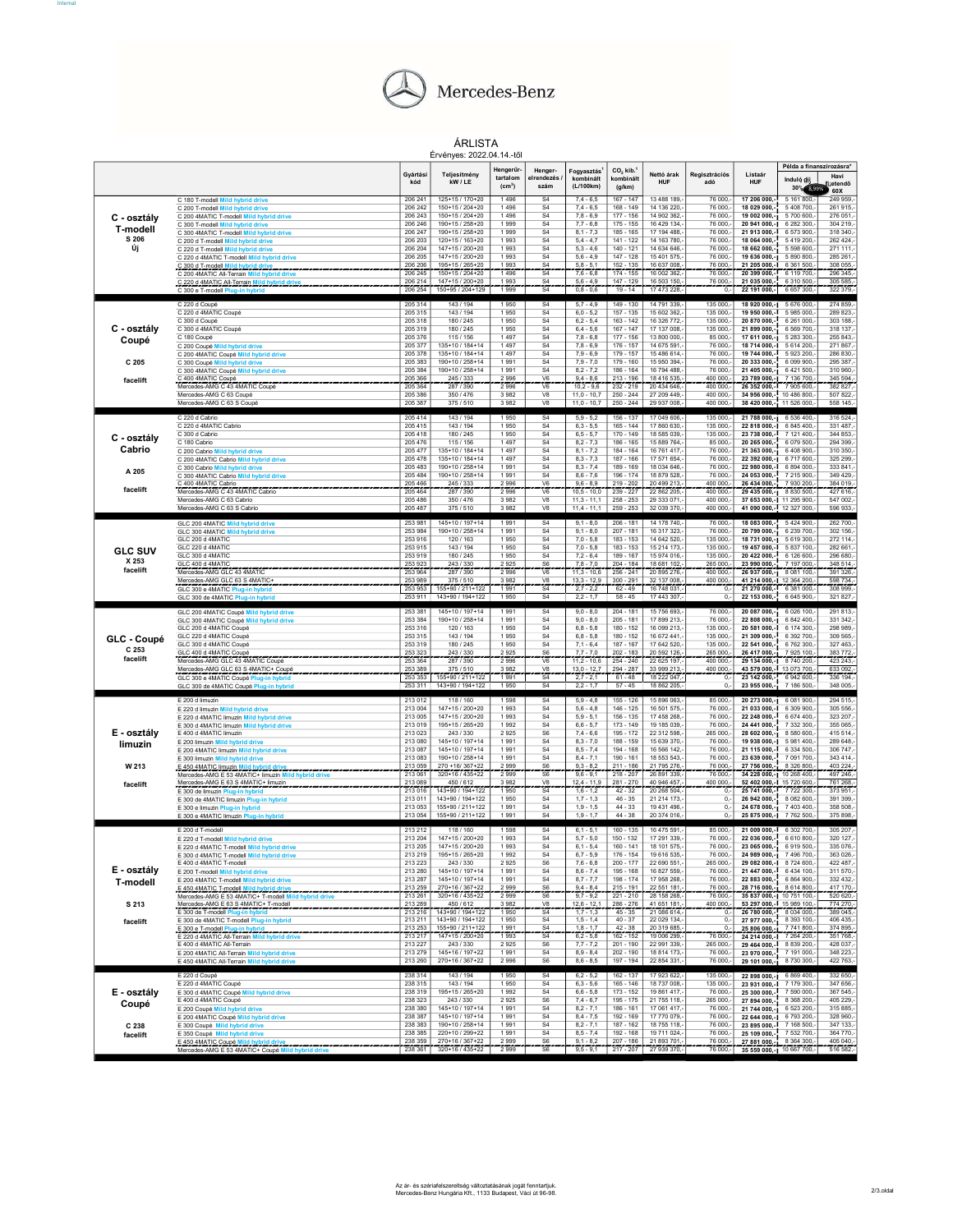

Internal#

ÁRLISTA Érvényes: 2022.04.14.-től

|                   |                                                                                                           |                    | Ervenyes: 2022.04.14.-to                  |                                             |                                  |                                      |                                             |                             |                        |                                                        |                                                    |                         |
|-------------------|-----------------------------------------------------------------------------------------------------------|--------------------|-------------------------------------------|---------------------------------------------|----------------------------------|--------------------------------------|---------------------------------------------|-----------------------------|------------------------|--------------------------------------------------------|----------------------------------------------------|-------------------------|
|                   |                                                                                                           | Gyártás<br>kód     | Teljesítmény<br>kW / LE                   | Hengerűr-<br>tartalom<br>(cm <sup>3</sup> ) | Henger-<br>elrendezés<br>szám    | Fogyasztás<br>kombinált<br>(L/100km) | CO <sub>2</sub> kib.<br>kombinált<br>(g/km) | Nettó árak<br><b>HUF</b>    | Regisztrációs<br>adó   | Listaár<br>HUF                                         | Példa a finanszírozásra*<br>Induló dí<br>30% 8,99% | Havi<br>izetendő<br>60X |
|                   | C 180 T-modell Mild hybrid drive<br>C 200 T-modell Mild hybrid drive                                      | 206 24<br>206 242  | 125+15 / 170+20<br>150+15 / 204+20        | 1496<br>1496                                | S <sub>4</sub><br>S <sub>4</sub> | $7,4 - 6,5$<br>$7,4 - 6,5$           | $167 - 147$<br>168 - 149                    | 13 488 189<br>14 136 220,   | 76 000,<br>76 000      | 17 206 000,<br>18 029 000,                             | 5 161 800<br>5 408 700                             | 249 959<br>261 915.     |
| C - osztály       | C 200 4MATIC T-modell Mild hybrid drive                                                                   | 206 243            | 150+15 / 204+20                           | 1496                                        | S <sub>4</sub>                   | $7.8 - 6.9$                          | $177 - 156$                                 | 14 902 362.                 | 76 000                 | 19 002 000,-j                                          | 5700 600                                           | 276 051                 |
| T-modell<br>S 206 | C 300 T-modell Mild hybrid drive                                                                          | 206 246            | 190+15 / 258+20                           | 1999                                        | S <sub>4</sub>                   | $7,7 - 6,8$                          | 175 - 155                                   | 16 429 134,                 | 76 000,                | 20 941 000,-1                                          | 6 282 300                                          | 304 219.                |
|                   | C 300 4MATIC T-modell Mild hybrid drive<br>C 200 d T-modell Mild hybrid drive                             | 206 247<br>206 203 | 190+15 / 258+20<br>120+15 / 163+20        | 1999<br>1993                                | S <sub>4</sub><br>S <sub>4</sub> | $8,1 - 7,3$<br>$5.4 - 4.7$           | 185 - 165<br>$141 - 122$                    | 17 194 488.<br>14 163 780,  | 76 000<br>76 000,      | 21 913 000,-<br>18 064 000.                            | 6573900<br>5 419 200                               | 318 340<br>262 424      |
| Új                | C 220 d T-modell Mild hybrid drive                                                                        | 206 204            | 147+15 / 200+20                           | 1 993                                       | S <sub>4</sub>                   | $5.3 - 4.6$                          | 140 - 121                                   | 14 634 646                  | 76 000.                | 18 662 000,-                                           | 5 5 9 8 6 0 0                                      | 271 111                 |
|                   | C 220 d 4MATIC T-modell Mild hybrid drive<br>C 300 d T-modell Mild hybrid drive                           | 206 205<br>206 206 | 147+15 / 200+20<br>$195+15/265+20$        | 1993<br>1993                                | S4<br>S <sub>4</sub>             | $5,6 - 4,9$<br>$58 - 51$             | 147 - 128<br>$152 - 135$                    | 15 401 575,<br>16 637 008   | 76 000<br>76 000       | 19 636 000,-1<br>21 205 000,                           | 5 890 800<br>6 361 500                             | 285 261,<br>308 055     |
|                   | C 200 4MATIC All-Terrain Mild hybrid                                                                      | 206 245            | 150+15 / 204+20                           | 1496                                        | S <sub>4</sub>                   | $7.6 - 6.8$                          | $174 - 155$                                 | 16 002 362.                 | 76 000.                | 20 399 000.                                            | 6 119 700                                          | 296 345.                |
|                   | <u>C 220 d 4MATIC All-Terrain Mild hybrid dr</u><br>C 300 e T-modell Plug-in hybrid                       | 206 214<br>206 254 | $147 + 15 / 200 + 20$<br>150+95 / 204+129 | 1993<br>1 9 9 9                             | S <sub>4</sub><br>S <sub>4</sub> | $5.6 - 4.9$<br>$0.8 - 0.6$           | $147 - 129$<br>$19 - 14$                    | 16 503 150<br>17 473 228.-  | 76 000,<br>0.1         | 21 035 000,-<br>22 191 000.- 6657 300.-                | 6 310 500                                          | 305 585<br>322 379.     |
|                   |                                                                                                           |                    |                                           |                                             |                                  |                                      |                                             |                             |                        |                                                        |                                                    |                         |
|                   | C 220 d Coupé<br>C 220 d 4MATIC Coupé                                                                     | 205 314<br>205 315 | 143 / 194<br>143 / 194                    | 1950<br>1950                                | S <sub>4</sub><br>S <sub>4</sub> | $5.7 - 4.9$<br>$6,0 - 5,2$           | 149 - 130<br>157 - 135                      | 14 791 339.<br>15 602 362,  | 135 000,-<br>135 000,- | 18 920 000.-1 5 676 000<br>19 950 000,-                | 5 985 000                                          | 274 859.<br>289 823,    |
|                   | C 300 d Coupé                                                                                             | 205 318            | 180 / 245                                 | 1950                                        | S <sub>4</sub>                   | $6.2 - 5.4$                          | $163 - 142$                                 | 16 326 772                  | 135 000                | 20 870 000,-                                           | 6 261 000                                          | 303 188                 |
| C - osztály       | C 300 d 4MATIC Coupé                                                                                      | 205 319<br>205 376 | 180 / 245<br>115 / 156                    | 1950<br>1497                                | S <sub>4</sub><br>S <sub>4</sub> | $6,4 - 5,6$<br>$7.8 - 6.8$           | $167 - 147$<br>177 - 156                    | 17 137 008,<br>13 800 000   | 135 000,<br>85 000     | 21 899 000.-                                           | 6 5 69 700<br>5 283 300                            | 318 137<br>255 843      |
| Coupé             | C 180 Coupé<br>C 200 Coupé Mild hybrid drive                                                              | 205 377            | 135+10 / 184+14                           | 1497                                        | S4                               | $7,8 - 6,9$                          | 176 - 157                                   | 14 675 591,                 | 76 000,                | 17 611 000,-1<br>18 714 000.-                          | 5 614 200                                          | 271867                  |
|                   | C 200 4MATIC Coupé Mild hybrid drive                                                                      | 205 378            | 135+10 / 184+14                           | 1497                                        | S <sub>4</sub>                   | $7,9 - 6,9$                          | 179 - 157                                   | 15 486 614,                 | 76 000,                | 19 744 000,-                                           | 5 923 200                                          | 286 830                 |
| C 205             | C 300 Coupé Mild hybrid drive<br>C 300 4MATIC Coupé Mild hybrid drive                                     | 205 383<br>205 384 | 190+10 / 258+14<br>190+10 / 258+14        | 1991<br>1991                                | S <sub>4</sub><br>S <sub>4</sub> | $7.9 - 7.0$<br>$8,2 - 7,2$           | 179 - 160<br>186 - 164                      | 15 950 394.<br>16 794 488,  | 76 000<br>76 000       | 20 333 000.<br>21 405 000,-1                           | 6 099 900<br>6 421 500                             | 295 387<br>310 960      |
| facelift          | C 400 4MATIC Coupé                                                                                        | 205 366            | 245 / 333                                 | 2996                                        | V <sub>6</sub>                   | $9.4 - 8.6$                          | $213 - 196$                                 | 18 416 535.                 | 400 000                | 23 789 000,-1                                          | 7 136 700                                          | 345 594                 |
|                   | Mercedes-AMG C 43 4MATIC Coupé<br>Mercedes-AMG C 63 Coupé                                                 | 205 364<br>205 386 | 287 / 390<br>350 / 476                    | 2996<br>3982                                | V6<br>V <sub>8</sub>             | $10,2 - 9,6$<br>$11.0 - 10.7$        | $232 - 219$<br>$250 - 244$                  | 20 434 646,<br>27 209 449   | 400 000,<br>400 000    | 26 352 000,-<br>34 956 000.                            | 7 905 600<br>10 486 800                            | 382 827,<br>507 822     |
|                   | Mercedes-AMG C 63 S Coupé                                                                                 | 205 387            | 375/510                                   | 3982                                        | V8                               | $11,0 - 10,7$                        | $250 - 244$                                 | 29 937 008,                 | 400 000,               | 38 420 000,-                                           | 11 526 000,                                        | 558 145,                |
|                   | C 220 d Cabrio                                                                                            | 205 414            | 143 / 194                                 | 1950                                        | S <sub>4</sub>                   | $5,9 - 5,2$                          | 156 - 137                                   | 17 049 606,                 | 135 000,-              | 21 788 000,-1 6 536 400,                               |                                                    | 316 524,                |
|                   | C 220 d 4MATIC Cabrio                                                                                     | 205 415            | 143/194                                   | 1950                                        | S <sub>4</sub>                   | $6.3 - 5.5$                          | $165 - 144$                                 | 17860630                    | 135 000.               | 22 818 000,-I                                          | 6845400                                            | 331 487                 |
| C - osztály       | C 300 d Cabrio                                                                                            | 205 418            | 180 / 245                                 | 1950                                        | S <sub>4</sub>                   | $6, 5 - 5, 7$                        | 170 - 149                                   | 18 585 039                  | 135 000,-              | 23 738 000.-                                           | 7 121 400,                                         | 344 853                 |
| Cabrio            | C 180 Cabrio<br>C 200 Cabrio Mild hybrid drive                                                            | 205 476<br>205 477 | 115 / 156<br>135+10 / 184+14              | 1497<br>1497                                | S <sub>4</sub><br>S <sub>4</sub> | $8,2 - 7,3$<br>$8.1 - 7.2$           | 186 - 165<br>184 - 164                      | 15 889 764,<br>16 761 417   | 85 000<br>76 000       | 20 265 000,-<br>21 363 000 .-                          | 6 079 500<br>6408900                               | 294 399,<br>310 350     |
|                   | C 200 4MATIC Cabrio Mild hybrid drive                                                                     | 205 478            | 135+10 / 184+14                           | 1497                                        | S <sub>4</sub>                   | $8,3 - 7,3$                          | 187 - 166                                   | 17 571 654,                 | 76 000,                | 22 392 000,-1                                          | 6717600                                            | 325 299                 |
| A 205             | C 300 Cabrio Mild hybrid drive<br>C 300 4MATIC Cabrio Mild hybrid drive                                   | 205 483<br>205 484 | 190+10 / 258+14<br>190+10 / 258+14        | 1991<br>1991                                | S <sub>4</sub><br>S <sub>4</sub> | $8.3 - 7.4$<br>$8,6 - 7,6$           | 189 - 169<br>196 - 174                      | 18 034 646.<br>18 879 528,  | 76 000.<br>76 000,     | 22 980 000.-<br>24 053 000,-                           | 6 894 000<br>7 215 900                             | 333 841<br>349 429,     |
|                   | C 400 4MATIC Cabrio                                                                                       | 205 466            | 245/333                                   | 2996                                        | V <sub>6</sub>                   | $9.6 - 8.9$                          | 219 - 202                                   | 20 499 213.                 | 400 000.               | 26 434 000,                                            | 7 930 200                                          | 384 019,                |
| facelift          | Mercedes-AMG C 43 4MATIC Cabric                                                                           | 205 464            | 287 / 390                                 | 2 9 9 6                                     | $\overline{\mathsf{V6}}$         | $10,5 - 10,0$                        | $239 - 227$                                 | 22 862 205,                 | 400 000,               | 29 435 000,-1                                          | 8 8 3 0 5 0 0                                      | 427 616                 |
|                   | Mercedes-AMG C 63 Cabrio<br>Mercedes-AMG C 63 S Cabrid                                                    | 205 486<br>205 487 | 350/476<br>375 / 510                      | 3982<br>3982                                | V8<br>V8                         | $11.3 - 11.1$<br>$11,4 - 11,1$       | $258 - 253$<br>259 - 253                    | 29 333 071<br>32 039 370,   | 400 000.<br>400 000,   | 37 653 000 .- 1 11 295 900<br>41 090 000,- 12 327 000, |                                                    | 547 002.<br>596 933,    |
|                   |                                                                                                           |                    |                                           |                                             |                                  |                                      |                                             |                             |                        |                                                        |                                                    |                         |
|                   | GLC 200 4MATIC Mild hybrid drive<br>GLC 300 4MATIC Mild hybrid drive                                      | 253 981<br>253 984 | 145+10 / 197+14<br>190+10 / 258+14        | 1991<br>1991                                | S4<br>S <sub>4</sub>             | $9,1 - 8,0$<br>$9,1 - 8,0$           | $206 - 181$<br>$207 - 181$                  | 14 178 740,-<br>16 317 323, | 76 000,-<br>76 000,    | 18 083 000,-<br>20 799 000,-j                          | 5424 900,-<br>6 239 700                            | 262 700.<br>302 156,    |
|                   | GLC 200 d 4MATIC                                                                                          | 253 916            | 120/163                                   | 1950                                        | S <sub>4</sub>                   | $7.0 - 5.8$                          | 183 - 153                                   | 14 642 520.                 | 135 000.               | 18 731 000.-1                                          | 5619300                                            | 272 114                 |
| <b>GLC SUV</b>    | GLC 220 d 4MATIC<br>GLC 300 d 4MATIC                                                                      | 253 915<br>253 919 | 143 / 194<br>180/245                      | 1950<br>1950                                | S <sub>4</sub><br>S <sub>4</sub> | $7,0 - 5,8$<br>$7.2 - 6.4$           | 183 - 153<br>189 - 167                      | 15 214 173,<br>15 974 016.  | 135 000.<br>135 000.   | 19 457 000,-<br>20 422 000.-                           | 5 837 100<br>6 126 600                             | 282 661<br>296 680      |
| X 253             | GLC 400 d 4MATIO                                                                                          | 253 923            | 243/330                                   | 2925                                        | ${\sf S6}$                       | $78 - 70$                            | $204 - 184$                                 | 18 681 102                  | 265 000                | 23 990 000,                                            | 7 197 000                                          | 348 514                 |
| facelift          | Mercedes-AMG GLC 43 4MATIC                                                                                | 253 964            | 287 / 390                                 | 2996                                        | V <sub>6</sub>                   | $11.3 - 10.6$                        | $256 - 241$                                 | 20 895 276.                 | 400 000.               | 26 937 000,-1 8 081 100                                |                                                    | 391 326.                |
|                   | Mercedes-AMG GLC 63 S 4MATIC-<br>GLC 300 e 4MATIC Plug-in hybrid                                          | 253 989<br>253 953 | 375/510<br>155+90 / 211+122               | 3.982<br>1991                               | V <sub>8</sub><br>S <sub>4</sub> | $133 - 129$<br>$2.7 - 2.2$           | $300 - 291$<br>$62 - 49$                    | 32 137 008<br>16 748 031.   | 400 000<br>0,-         | 41 214 000,-1 12 364 200<br>21 270 000.                | 6 381 000.                                         | 598 734<br>308 999.     |
|                   | GLC 300 de 4MATIC Plug-in hybrid                                                                          | 253 911            | 143+90 / 194+122                          | 1950                                        | S <sub>4</sub>                   | $2,2 - 1,7$                          | $58 - 45$                                   | 17 443 307,                 | $0, -$                 | 22 153 000.                                            | 6 645 900,                                         | 321 827,                |
|                   |                                                                                                           |                    |                                           |                                             |                                  |                                      |                                             |                             |                        |                                                        |                                                    |                         |
|                   |                                                                                                           | 253 381            | 145+10 / 197+14                           | 1991                                        | S <sub>4</sub>                   | $9,0 - 8,0$                          | $204 - 181$                                 | 15 756 693,-                | 76 000,-               |                                                        |                                                    | 291 813,                |
|                   | GLC 200 4MATIC Coupé Mild hybrid drive<br>GLC 300 4MATIC Coupé Mild hybrid drive                          | 253 384            | 190+10 / 258+14                           | 1991                                        | S <sub>4</sub>                   | $9,0 - 8,0$                          | $205 - 181$                                 | 17 899 213,                 | 76 000                 | 22 808 000,-1                                          | 20 087 000,-1 6 026 100,-<br>6 842 400             | 331 342                 |
|                   | GLC 200 d 4MATIC Coupé                                                                                    | 253 316            | 120 / 163                                 | 1950                                        | S <sub>4</sub>                   | $6.8 - 5.8$                          | $180 - 152$                                 | 16 099 213.                 | 135 000                | 20 581 000.-                                           | 6 174 300                                          | 298 989                 |
| GLC - Coupé       | GLC 220 d 4MATIC Coupé<br>GLC 300 d 4MATIC Coupé                                                          | 253 315<br>253 319 | 143 / 194<br>180 / 245                    | 1950<br>1950                                | S <sub>4</sub><br>S <sub>4</sub> | $6,8 - 5,8$<br>$7.1 - 6.4$           | 180 - 152<br>187 - 167                      | 16 672 441,<br>17 642 520.  | 135 000<br>135 000.    | 21 309 000,-<br>22 541 000.                            | 6 392 700<br>6762300                               | 309 565<br>327 463      |
| C 253             | GLC 400 d 4MATIC Coupé                                                                                    | 253 323            | 243 / 330                                 | 2925                                        | S <sub>6</sub>                   | $77 - 70$                            | $202 - 183$                                 | 20 592 126                  | 265 000                | 26 417 000,-                                           | 7925 100                                           | 383 772                 |
| facelift          | Mercedes-AMG GLC 43 4MATIC Coupé                                                                          | 253 364<br>253 389 | 287/390<br>375 / 510                      | 2996<br>3.982                               | V <sub>6</sub><br>V <sub>8</sub> | $11.2 - 10.6$<br>$13.0 - 12.7$       | $254 - 240$<br>$294 - 287$                  | 22 625 197.<br>33 999 213   | 400 000.<br>400 000    | 29 134 000.-1 8 740 200                                |                                                    | 423 243.                |
|                   | Mercedes-AMG GLC 63 S 4MATIC+ Coupe<br>GLC 300 e 4MATIC Coupé Plug-in hybrid                              | 253 353            | 155+90 / 211+122                          | 1991                                        | S4                               | $2.7 - 2.1$                          | $61 - 48$                                   | 18 222 047.                 | 0.                     | 43 579 000,- 13 073 700<br>23 142 000.                 | 6942600                                            | 633 092,<br>336 194.    |
|                   | GLC 300 de 4MATIC Coupé Plug-in hybr                                                                      | 253 311            | 143+90 / 194+122                          | 1950                                        | S <sub>4</sub>                   | $2,2 - 1,7$                          | $57 - 45$                                   | 18 862 205,                 | 0.5                    | 23 955 000 .-                                          | 7 186 500,                                         | 348 005,                |
|                   | E 200 d limuzin                                                                                           | 213 012            | 118/160                                   | 1598                                        | S <sub>4</sub>                   | $5,9 - 4,8$                          | $155 - 126$                                 | 15 896 063,-                | 85 000,-               |                                                        | 20 273 000,-1 6 081 900,-                          | 294 515.                |
|                   | E 220 d limuzin Mild hybrid drive                                                                         | 213 004            | 147+15 / 200+20                           | 1993                                        | S <sub>4</sub>                   | $5,6 - 4,8$                          | 146 - 125                                   | 16 501 575,                 | 76 000,                | 21 033 000,-I                                          | 6 309 900                                          | 305 556,                |
|                   | E 220 d 4MATIC limuzin Mild hybrid drive<br>E 300 d 4MATIC limuzin Mild hybrid drive                      | 213 005<br>213 019 | 147+15 / 200+20<br>195+15 / 265+20        | 1993<br>1992                                | S <sub>4</sub><br>S <sub>4</sub> | $5.9 - 5.1$<br>$6,6 - 5,7$           | 156 - 135<br>$173 - 149$                    | 17 458 268.<br>19 185 039,  | 76 000<br>76 000,      | 22 248 000.<br>24 441 000,-                            | 6674400<br>7 332 300                               | 323 207<br>355 065      |
| E - osztály       | E 400 d 4MATIC limuzin                                                                                    | 213 023            | 243/330                                   | 2925                                        | S6                               | $7.4 - 6.6$                          | 195 - 172                                   | 22 312 598.                 | 265 000.               | 28 602 000,-                                           | 8 5 8 0 6 0 0                                      | 415 514.                |
| limuzin           | E 200 limuzin Mild hybrid drive                                                                           | 213 080<br>213 087 | 145+10 / 197+14<br>145+10 / 197+14        | 1991<br>1991                                | S <sub>4</sub><br>S <sub>4</sub> | $8,3 - 7,0$<br>$8.5 - 7.4$           | 188 - 159<br>194 - 168                      | 15 639 370,<br>16 566 142.  | 76 000<br>76 000       | 19 938 000,-1<br>21 115 000.-                          | 5981400<br>6 3 3 4 5 0 0                           | 289 648<br>306 747      |
|                   | E 200 4MATIC limuzin Mild hybrid drive<br>E 300 limuzin Mild hybrid drive                                 | 213 083            | 190+10 / 258+14                           | 1991                                        | S <sub>4</sub>                   | $8,4 - 7,1$                          | 190 - 161                                   | 18 553 543,                 | 76 000                 | 23 639 000,-                                           | 7 091 700                                          | 343 414,                |
| W 213             | E 450 4MATIC limuzin Mild hybrid driv                                                                     | 213 059            | 270 +16/367+22                            | 2999                                        | S <sub>6</sub>                   | $9.3 - 8.2$                          | 211 - 186                                   | 21 795 276.                 | 76 000                 | 27 756 000,                                            | 8 3 2 6 8 0 0                                      | 403 224,                |
|                   | Mercedes-AMG E 53 4MATIC+ limuzin Mild<br>Mercedes-AMG E 63 S 4MATIC+ limuzin                             | 213 06<br>213.089  | 320+16 / 435+22<br>450/612                | 2999<br>3982                                | S <sub>6</sub><br>V <sub>8</sub> | $9,6 - 9,1$<br>$12.4 - 11.1$         | 218 - 207<br>$281 - 270$                    | 26 891 339<br>40 946 457    | 76 000,<br>400 000     | 34 228 000,-<br>52 402 000,-                           | 10 268 400<br>15 720 600                           | 497 246,<br>761 268,    |
| facelift          | E 300 de limuzin Plug-in hybrid                                                                           | 213 016            | 43+90 / 194+122                           | 1950                                        | $\overline{S4}$                  | $1,6 - 1,2$                          | $42 - 32$                                   | 20 268 504                  | 0,                     | 25 741 000                                             | 7722300                                            | 373 951                 |
|                   | E 300 de 4MATIC limuzin Plug-in hybrid                                                                    | 213 011            | 143+90 / 194+122                          | 1950                                        | S <sub>4</sub>                   | $1.7 - 1.3$                          | $46 - 35$                                   | 21 214 173                  | $\overline{0}$         | 26 942 000.                                            | 8 082 600                                          | 391 399                 |
|                   | E 300 e limuzin Plug-in hybrid<br>E 300 e 4MATIC limuzin Plug-in hybrid                                   | 213 053<br>213 054 | 155+90 / 211+122<br>155+90 / 211+122      | 1991<br>1991                                | S <sub>4</sub><br>S <sub>4</sub> | $1,9 - 1,5$<br>$1.9 - 1.7$           | $44 - 33$<br>$44 - 38$                      | 19 431 496.<br>20 374 016.  | $\mathbf{0}$<br>0.     | 24 678 000,-1<br>25 875 000,-1 7 762 500               | 7 403 400                                          | 358 508,<br>375 898.    |
|                   |                                                                                                           |                    |                                           |                                             |                                  |                                      |                                             |                             |                        |                                                        |                                                    |                         |
|                   | E 200 d T-modell<br>E 220 d T-modell Mild hybrid drive                                                    | 213 212<br>213 204 | 118 / 160<br>147+15 / 200+20              | 1598<br>1993                                | S <sub>4</sub><br>S <sub>4</sub> | $6, 1 - 5, 1$<br>$5.7 - 5.0$         | 160 - 135<br>150 - 132                      | 16 475 591,<br>17 291 339.  | 85 000,-<br>76 000.    | 22 036 000.                                            | 21 009 000,-1 6 302 700,<br>6 610 800              | 305 207,<br>320 127     |
|                   | E 220 d 4MATIC T-modell Mild hybrid drive                                                                 | 213 205            | 147+15 / 200+20                           | 1993                                        | S <sub>4</sub>                   | $6,1 - 5,4$                          | 160 - 141                                   | 18 101 575,                 | 76 000,                | 23 065 000,-                                           | 6 919 500,-                                        | 335 076,                |
|                   | E 300 d 4MATIC T-modell Mil<br>E 400 d 4MATIC T-modell                                                    | 213 219<br>213 223 | 195+15 / 265+20                           | 1992<br>2925                                | S4                               | $6.7 - 5.9$<br>$7,6 - 6,8$           | 176 - 154<br>$200 - 177$                    | 19 616 535.                 | 265 000,-              | 76 000,- 24 989 000,- 1 7 496 700,-                    |                                                    | 363 026.                |
| E - osztály       | E 200 T-modell Mild hybrid drive                                                                          | 213 280            | 243 / 330<br>145+10 / 197+14              | 1991                                        | S <sub>6</sub><br>S <sub>4</sub> | $8.6 - 7.4$                          | 195 - 168                                   | 22 690 551<br>16 827 559.   | 76 000.                | 29 082 000,-1 8 724 600,-<br>21 447 000,- 6 434 100,-  |                                                    | 422 487,<br>311 570.    |
| T-modell          | E 200 4MATIC T-modell Mild hybrid drive                                                                   | 213 287            | 145+10 / 197+14                           | 1991                                        | S <sub>4</sub>                   | $8,7 - 7,7$                          | 198 - 174                                   | 17 958 268,                 | 76 000,-               | 22 883 000,-                                           | 6 864 900,                                         | 332 432                 |
|                   | E 450 4MATIC T-modell Mild hybrid drive<br>Mercedes-AMG E 53 4MATIC+ T-modell Mild hybrid drive           | 213 259<br>213 261 | 270+16 / 367+22<br>$320+16/435+22$        | 2999<br>2999                                | S <sub>6</sub><br>S6             | $9.4 - 8.4$<br>$9.7 - 9.2$           | $215 - 191$<br>221 - 210                    | 22 551 181<br>28 158 268,   | 76 000<br>76 000,-     | 28 716 000 - 8 614 800<br>35 837 000,-1 10 751 100     |                                                    | 417 170,<br>520 620,-   |
| S 213             | Mercedes-AMG E 63 S 4MATIC+ T-modell                                                                      | 213 289            | 450/612                                   | 3982                                        | V <sub>8</sub>                   | $12.6 - 12.$                         | 286 - 276                                   | 41 651 181                  | 400 000                | 53 297 000. 15 989 100                                 |                                                    | 774 270                 |
|                   | E 300 de T-modell Plug-in hybrid                                                                          | 213 216            | 143+90 / 194+122                          | 1950                                        | $\overline{SA}$                  | $1,7 - 1,3$                          | $45 - 35$                                   | 21 086 614,                 | 0,                     | 26 780 000.                                            | 8 034 000                                          | 389 045                 |
| facelift          | E 300 de 4MATIC T-modell Plug-in hybrid                                                                   | 213 211<br>213 253 | 143+90 / 194+122<br>155+90 / 211+122      | 1950<br>1991                                | S4<br>S <sub>4</sub>             | $1.5 - 1.4$<br>18.17                 | $40 - 37$<br>$42 - 38$                      | 22 029 134<br>20 319 685    | 0.<br>$\Omega$         | 27 977 000,-<br>25 806 000,-1                          | 8 393 100,-<br>7 741 800                           | 406 435.<br>374 895     |
|                   | <u> E 300 e T-modell Plug-in hybrid _ _ _ _ _ _ _ _ _</u><br>E 220 d 4MATIC All-Terrain Mild hybrid drive | 213 217            | $147 + 157200 + 20$                       | 1993                                        | S <sub>4</sub>                   | $6.2 - 5.8$                          | 162 - 152                                   | 19 006 299.-                | 76 000.-               | 24 214 000,-1 7 264 200,-                              |                                                    | 351 768.                |
|                   | E 400 d 4MATIC All-Terrain                                                                                | 213 227            | 243 / 330                                 | 2925                                        | S6                               | $7,7 - 7,2$                          | $201 - 190$                                 | 22 991 339,                 | 265 000,-              |                                                        | 29 464 000,- 8 839 200,-                           | 428 037,                |
|                   | E 200 4MATIC All-Terrain Mild hybrid drive<br>E 450 4MATIC All-Terrain Mild hybrid dr                     | 213 279<br>213 260 | $145+16/197+22$<br>270+16 / 367+22        | 1991<br>2996                                | S <sub>4</sub><br>S <sub>6</sub> | $8.9 - 8.4$<br>$8,6 - 8,5$           | $202 - 190$<br>$197 - 194$                  | 18 814 173,<br>22 854 331,- | 76 000.<br>76 000,-    | 23 970 000,-1 7 191 000,-                              | 29 101 000,-1 8 730 300,-                          | 348 223,<br>422 763,-   |
|                   |                                                                                                           |                    |                                           |                                             |                                  |                                      |                                             |                             |                        |                                                        |                                                    |                         |
|                   | E 220 d Coupé<br>E 220 d 4MATIC Coupé                                                                     | 238 314<br>238 315 | 143/194<br>143 / 194                      | 1950<br>1950                                | <b>S4</b><br>S <sub>4</sub>      | $6.2 - 5.2$<br>$6,3 - 5,6$           | $162 - 137$<br>$165 - 146$                  | 17 923 622,-<br>18 737 008, | 135 000.-<br>135 000,- | 23 931 000,-1 7 179 300,                               | 22 898 000,-1 6 869 400,-                          | 332 650.<br>347 656,    |
| E - osztály       | E 300 d 4MATIC Coupé Mild hybrid drive                                                                    | 238 319            | 195+15 / 265+20                           | 1992                                        | S <sub>4</sub>                   | $6.6 - 5.8$                          | $173 - 152$                                 | 19 861 417.                 | 76 000.                |                                                        | 25 300 000,- 7 590 000,-                           | 367 545                 |
| Coupé             | E 400 d 4MATIC Coupé                                                                                      | 238 323            | 243 / 330<br>$145+10/197+14$              | 2925<br>1991                                | ${\sf S6}$                       | $7.4 - 6.7$<br>$8.2 - 7.1$           | 195 - 175<br>$186 - 161$                    | 21 755 118,<br>17 061 417.  | 265 000,-<br>76 000.   |                                                        | 27 894 000,-1 8 368 200,-                          | 405 229                 |
|                   | E 200 Coupé Mild hybrid drive<br>E 200 4MATIC Coupé Mild hybrid drive                                     | 238 380<br>238 387 | 145+10 / 197+14                           | 1991                                        | S <sub>4</sub><br>S <sub>4</sub> | $8,4 - 7,5$                          | 192 - 169                                   | 17 770 079,                 | 76 000,-               | 22 644 000,-1                                          | 21 744 000,-1 6 523 200,-<br>6793200,              | 315 885,-<br>328 960,   |
| C 238             | E 300 Coupé Mild hybrid drive                                                                             | 238 383            | 190+10 / 258+14                           | 1991                                        | S <sub>4</sub>                   | $8.2 - 7.1$                          | $187 - 162$                                 | 18 755 118.                 | 76 000.                | 23 895 000,-                                           | 7 168 500                                          | 347 133                 |
| facelift          | E 350 Coupé Mild hybrid drive<br>E 450 4MATIC Coupé Mild hybrid drive                                     | 238 385<br>238 359 | 220+10 / 299+22<br>270+16 / 367+22        | 1991<br>2999                                | S <sub>4</sub><br>S <sub>6</sub> | $8,5 - 7,4$<br>$9, 1 - 8, 2$         | 192 - 168<br>$207 - 186$                    | 19 711 024,<br>21 893 701   | 76 000,-<br>76 000.    | 25 109 000,-<br>27 881 000 - 8 364 300                 | 7 532 700,                                         | 364 770.<br>405 040,    |